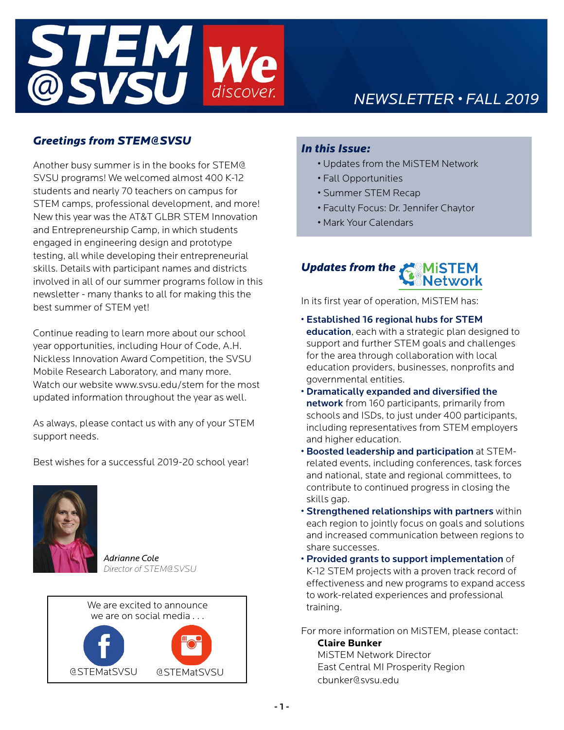

# *NEWSLETTER • FALL 2019*

# *Greetings from STEM@SVSU*

Another busy summer is in the books for STEM@ SVSU programs! We welcomed almost 400 K-12 students and nearly 70 teachers on campus for STEM camps, professional development, and more! New this year was the AT&T GLBR STEM Innovation and Entrepreneurship Camp, in which students engaged in engineering design and prototype testing, all while developing their entrepreneurial skills. Details with participant names and districts involved in all of our summer programs follow in this newsletter - many thanks to all for making this the best summer of STEM yet!

Continue reading to learn more about our school year opportunities, including Hour of Code, A.H. Nickless Innovation Award Competition, the SVSU Mobile Research Laboratory, and many more. Watch our website www.svsu.edu/stem for the most updated information throughout the year as well.

As always, please contact us with any of your STEM support needs.

Best wishes for a successful 2019-20 school year!



*Adrianne Cole Director of STEM@SVSU*



# *In this Issue:*

- Updates from the MiSTEM Network
- Fall Opportunities
- Summer STEM Recap
- Faculty Focus: Dr. Jennifer Chaytor
- Mark Your Calendars

# *Updates from the*

In its first year of operation, MiSTEM has:

- Established 16 regional hubs for STEM education, each with a strategic plan designed to support and further STEM goals and challenges for the area through collaboration with local education providers, businesses, nonprofits and governmental entities.
- Dramatically expanded and diversified the network from 160 participants, primarily from schools and ISDs, to just under 400 participants, including representatives from STEM employers and higher education.
- Boosted leadership and participation at STEMrelated events, including conferences, task forces and national, state and regional committees, to contribute to continued progress in closing the skills gap.
- Strengthened relationships with partners within each region to jointly focus on goals and solutions and increased communication between regions to share successes.
- Provided grants to support implementation of K-12 STEM projects with a proven track record of effectiveness and new programs to expand access to work-related experiences and professional training.
- For more information on MiSTEM, please contact: **Claire Bunker**

MiSTEM Network Director East Central MI Prosperity Region cbunker@svsu.edu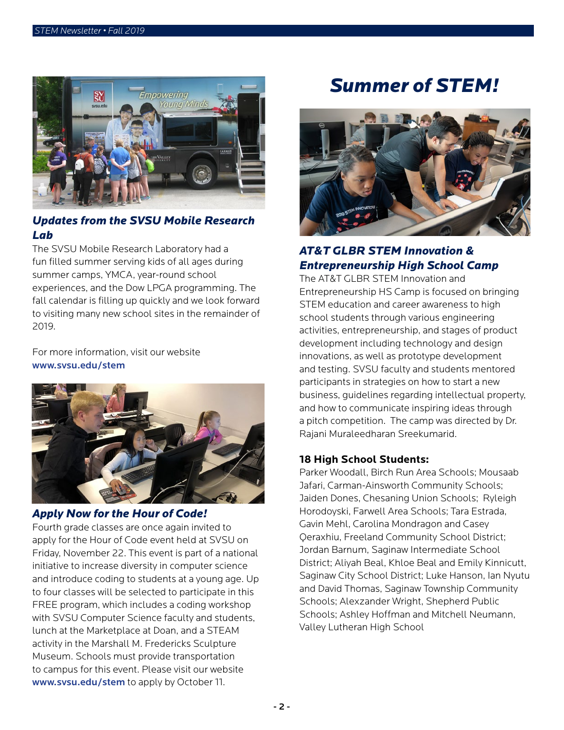

# *Updates from the SVSU Mobile Research Lab*

The SVSU Mobile Research Laboratory had a fun filled summer serving kids of all ages during summer camps, YMCA, year-round school experiences, and the Dow LPGA programming. The fall calendar is filling up quickly and we look forward to visiting many new school sites in the remainder of 2019.

For more information, visit our website www.svsu.edu/stem



#### *Apply Now for the Hour of Code!*

Fourth grade classes are once again invited to apply for the Hour of Code event held at SVSU on Friday, November 22. This event is part of a national initiative to increase diversity in computer science and introduce coding to students at a young age. Up to four classes will be selected to participate in this FREE program, which includes a coding workshop with SVSU Computer Science faculty and students, lunch at the Marketplace at Doan, and a STEAM activity in the Marshall M. Fredericks Sculpture Museum. Schools must provide transportation to campus for this event. Please visit our website www.svsu.edu/stem to apply by October 11.

# *Summer of STEM!*



# *AT&T GLBR STEM Innovation & Entrepreneurship High School Camp*

The AT&T GLBR STEM Innovation and Entrepreneurship HS Camp is focused on bringing STEM education and career awareness to high school students through various engineering activities, entrepreneurship, and stages of product development including technology and design innovations, as well as prototype development and testing. SVSU faculty and students mentored participants in strategies on how to start a new business, guidelines regarding intellectual property, and how to communicate inspiring ideas through a pitch competition. The camp was directed by Dr. Rajani Muraleedharan Sreekumarid.

#### **18 High School Students:**

Parker Woodall, Birch Run Area Schools; Mousaab Jafari, Carman-Ainsworth Community Schools; Jaiden Dones, Chesaning Union Schools; Ryleigh Horodoyski, Farwell Area Schools; Tara Estrada, Gavin Mehl, Carolina Mondragon and Casey Qeraxhiu, Freeland Community School District; Jordan Barnum, Saginaw Intermediate School District; Aliyah Beal, Khloe Beal and Emily Kinnicutt, Saginaw City School District; Luke Hanson, Ian Nyutu and David Thomas, Saginaw Township Community Schools; Alexzander Wright, Shepherd Public Schools; Ashley Hoffman and Mitchell Neumann, Valley Lutheran High School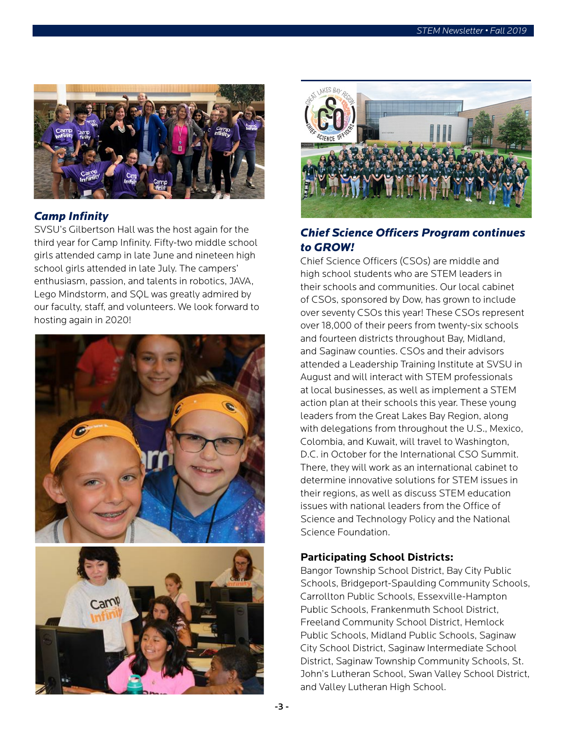

## *Camp Infinity*

SVSU's Gilbertson Hall was the host again for the third year for Camp Infinity. Fifty-two middle school girls attended camp in late June and nineteen high school girls attended in late July. The campers' enthusiasm, passion, and talents in robotics, JAVA, Lego Mindstorm, and SQL was greatly admired by our faculty, staff, and volunteers. We look forward to hosting again in 2020!



 $Can$ 



# *Chief Science Officers Program continues to GROW!*

Chief Science Officers (CSOs) are middle and high school students who are STEM leaders in their schools and communities. Our local cabinet of CSOs, sponsored by Dow, has grown to include over seventy CSOs this year! These CSOs represent over 18,000 of their peers from twenty-six schools and fourteen districts throughout Bay, Midland, and Saginaw counties. CSOs and their advisors attended a Leadership Training Institute at SVSU in August and will interact with STEM professionals at local businesses, as well as implement a STEM action plan at their schools this year. These young leaders from the Great Lakes Bay Region, along with delegations from throughout the U.S., Mexico, Colombia, and Kuwait, will travel to Washington, D.C. in October for the International CSO Summit. There, they will work as an international cabinet to determine innovative solutions for STEM issues in their regions, as well as discuss STEM education issues with national leaders from the Office of Science and Technology Policy and the National Science Foundation.

## **Participating School Districts:**

Bangor Township School District, Bay City Public Schools, Bridgeport-Spaulding Community Schools, Carrollton Public Schools, Essexville-Hampton Public Schools, Frankenmuth School District, Freeland Community School District, Hemlock Public Schools, Midland Public Schools, Saginaw City School District, Saginaw Intermediate School District, Saginaw Township Community Schools, St. John's Lutheran School, Swan Valley School District, and Valley Lutheran High School.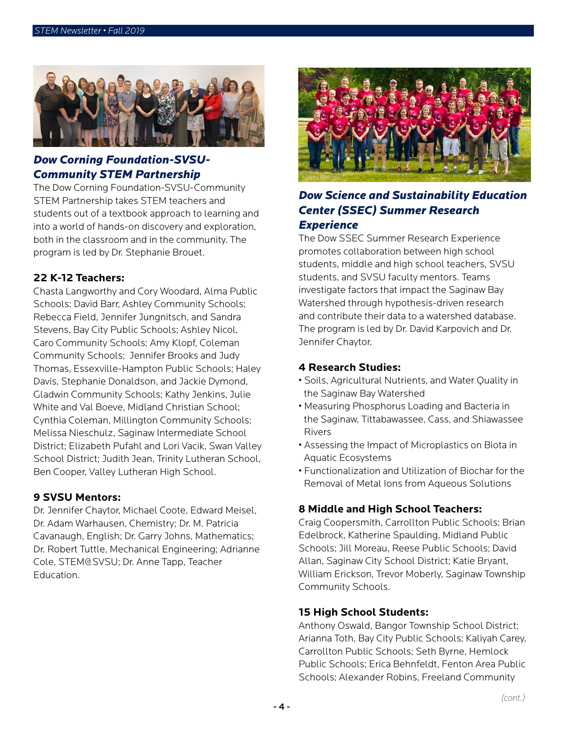

# *Dow Corning Foundation-SVSU-Community STEM Partnership*

The Dow Corning Foundation-SVSU-Community STEM Partnership takes STEM teachers and students out of a textbook approach to learning and into a world of hands-on discovery and exploration, both in the classroom and in the community. The program is led by Dr. Stephanie Brouet.

#### **22 K-12 Teachers:**

Chasta Langworthy and Cory Woodard, Alma Public Schools; David Barr, Ashley Community Schools; Rebecca Field, Jennifer Jungnitsch, and Sandra Stevens, Bay City Public Schools; Ashley Nicol, Caro Community Schools; Amy Klopf, Coleman Community Schools; Jennifer Brooks and Judy Thomas, Essexville-Hampton Public Schools; Haley Davis, Stephanie Donaldson, and Jackie Dymond, Gladwin Community Schools; Kathy Jenkins, Julie White and Val Boeve, Midland Christian School; Cynthia Coleman, Millington Community Schools; Melissa Nieschulz, Saginaw Intermediate School District; Elizabeth Pufahl and Lori Vacik, Swan Valley School District; Judith Jean, Trinity Lutheran School, Ben Cooper, Valley Lutheran High School.

#### **9 SVSU Mentors:**

Dr. Jennifer Chaytor, Michael Coote, Edward Meisel, Dr. Adam Warhausen, Chemistry; Dr. M. Patricia Cavanaugh, English; Dr. Garry Johns, Mathematics; Dr. Robert Tuttle, Mechanical Engineering; Adrianne Cole, STEM@SVSU; Dr. Anne Tapp, Teacher Education.



# *Dow Science and Sustainability Education Center (SSEC) Summer Research Experience*

The Dow SSEC Summer Research Experience promotes collaboration between high school students, middle and high school teachers, SVSU students, and SVSU faculty mentors. Teams investigate factors that impact the Saginaw Bay Watershed through hypothesis-driven research and contribute their data to a watershed database. The program is led by Dr. David Karpovich and Dr. Jennifer Chaytor.

#### **4 Research Studies:**

- Soils, Agricultural Nutrients, and Water Quality in the Saginaw Bay Watershed
- Measuring Phosphorus Loading and Bacteria in the Saginaw, Tittabawassee, Cass, and Shiawassee Rivers
- Assessing the Impact of Microplastics on Biota in Aquatic Ecosystems
- Functionalization and Utilization of Biochar for the Removal of Metal Ions from Aqueous Solutions

#### **8 Middle and High School Teachers:**

Craig Coopersmith, Carrollton Public Schools; Brian Edelbrock, Katherine Spaulding, Midland Public Schools; Jill Moreau, Reese Public Schools; David Allan, Saginaw City School District; Katie Bryant, William Erickson, Trevor Moberly, Saginaw Township Community Schools.

#### **15 High School Students:**

Anthony Oswald, Bangor Township School District; Arianna Toth, Bay City Public Schools; Kaliyah Carey, Carrollton Public Schools; Seth Byrne, Hemlock Public Schools; Erica Behnfeldt, Fenton Area Public Schools; Alexander Robins, Freeland Community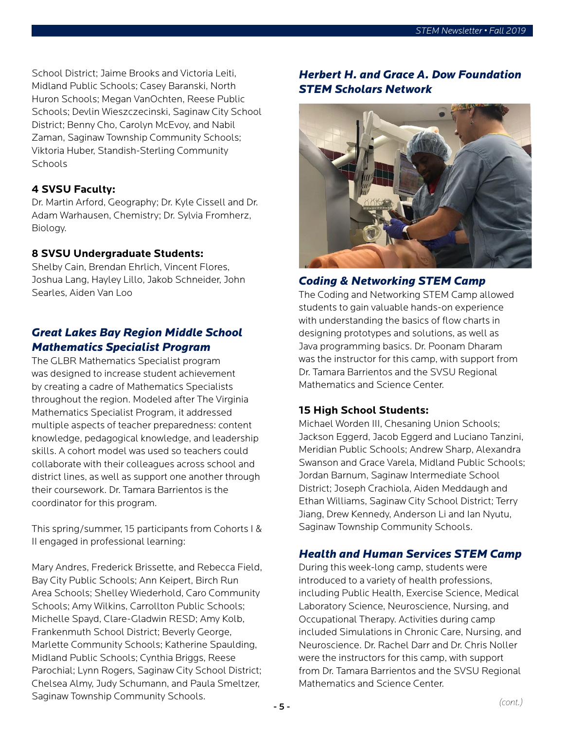School District; Jaime Brooks and Victoria Leiti, Midland Public Schools; Casey Baranski, North Huron Schools; Megan VanOchten, Reese Public Schools; Devlin Wieszczecinski, Saginaw City School District; Benny Cho, Carolyn McEvoy, and Nabil Zaman, Saginaw Township Community Schools; Viktoria Huber, Standish-Sterling Community **Schools** 

#### **4 SVSU Faculty:**

Dr. Martin Arford, Geography; Dr. Kyle Cissell and Dr. Adam Warhausen, Chemistry; Dr. Sylvia Fromherz, Biology.

#### **8 SVSU Undergraduate Students:**

Shelby Cain, Brendan Ehrlich, Vincent Flores, Joshua Lang, Hayley Lillo, Jakob Schneider, John Searles, Aiden Van Loo

# *Great Lakes Bay Region Middle School Mathematics Specialist Program*

The GLBR Mathematics Specialist program was designed to increase student achievement by creating a cadre of Mathematics Specialists throughout the region. Modeled after The Virginia Mathematics Specialist Program, it addressed multiple aspects of teacher preparedness: content knowledge, pedagogical knowledge, and leadership skills. A cohort model was used so teachers could collaborate with their colleagues across school and district lines, as well as support one another through their coursework. Dr. Tamara Barrientos is the coordinator for this program.

This spring/summer, 15 participants from Cohorts I & II engaged in professional learning:

Mary Andres, Frederick Brissette, and Rebecca Field, Bay City Public Schools; Ann Keipert, Birch Run Area Schools; Shelley Wiederhold, Caro Community Schools; Amy Wilkins, Carrollton Public Schools; Michelle Spayd, Clare-Gladwin RESD; Amy Kolb, Frankenmuth School District; Beverly George, Marlette Community Schools; Katherine Spaulding, Midland Public Schools; Cynthia Briggs, Reese Parochial; Lynn Rogers, Saginaw City School District; Chelsea Almy, Judy Schumann, and Paula Smeltzer, Saginaw Township Community Schools.

# *Herbert H. and Grace A. Dow Foundation STEM Scholars Network*



#### *Coding & Networking STEM Camp*

The Coding and Networking STEM Camp allowed students to gain valuable hands-on experience with understanding the basics of flow charts in designing prototypes and solutions, as well as Java programming basics. Dr. Poonam Dharam was the instructor for this camp, with support from Dr. Tamara Barrientos and the SVSU Regional Mathematics and Science Center.

#### **15 High School Students:**

Michael Worden III, Chesaning Union Schools; Jackson Eggerd, Jacob Eggerd and Luciano Tanzini, Meridian Public Schools; Andrew Sharp, Alexandra Swanson and Grace Varela, Midland Public Schools; Jordan Barnum, Saginaw Intermediate School District; Joseph Crachiola, Aiden Meddaugh and Ethan Williams, Saginaw City School District; Terry Jiang, Drew Kennedy, Anderson Li and Ian Nyutu, Saginaw Township Community Schools.

#### *Health and Human Services STEM Camp*

During this week-long camp, students were introduced to a variety of health professions, including Public Health, Exercise Science, Medical Laboratory Science, Neuroscience, Nursing, and Occupational Therapy. Activities during camp included Simulations in Chronic Care, Nursing, and Neuroscience. Dr. Rachel Darr and Dr. Chris Noller were the instructors for this camp, with support from Dr. Tamara Barrientos and the SVSU Regional Mathematics and Science Center.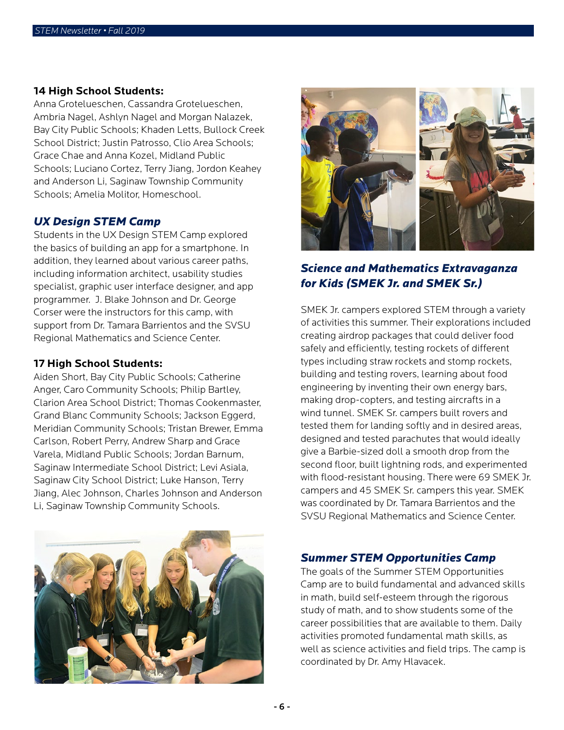#### **14 High School Students:**

Anna Grotelueschen, Cassandra Grotelueschen, Ambria Nagel, Ashlyn Nagel and Morgan Nalazek, Bay City Public Schools; Khaden Letts, Bullock Creek School District; Justin Patrosso, Clio Area Schools; Grace Chae and Anna Kozel, Midland Public Schools; Luciano Cortez, Terry Jiang, Jordon Keahey and Anderson Li, Saginaw Township Community Schools; Amelia Molitor, Homeschool.

#### *UX Design STEM Camp*

Students in the UX Design STEM Camp explored the basics of building an app for a smartphone. In addition, they learned about various career paths, including information architect, usability studies specialist, graphic user interface designer, and app programmer. J. Blake Johnson and Dr. George Corser were the instructors for this camp, with support from Dr. Tamara Barrientos and the SVSU Regional Mathematics and Science Center.

#### **17 High School Students:**

Aiden Short, Bay City Public Schools; Catherine Anger, Caro Community Schools; Philip Bartley, Clarion Area School District; Thomas Cookenmaster, Grand Blanc Community Schools; Jackson Eggerd, Meridian Community Schools; Tristan Brewer, Emma Carlson, Robert Perry, Andrew Sharp and Grace Varela, Midland Public Schools; Jordan Barnum, Saginaw Intermediate School District; Levi Asiala, Saginaw City School District; Luke Hanson, Terry Jiang, Alec Johnson, Charles Johnson and Anderson Li, Saginaw Township Community Schools.





# *Science and Mathematics Extravaganza for Kids (SMEK Jr. and SMEK Sr.)*

SMEK Jr. campers explored STEM through a variety of activities this summer. Their explorations included creating airdrop packages that could deliver food safely and efficiently, testing rockets of different types including straw rockets and stomp rockets, building and testing rovers, learning about food engineering by inventing their own energy bars, making drop-copters, and testing aircrafts in a wind tunnel. SMEK Sr. campers built rovers and tested them for landing softly and in desired areas, designed and tested parachutes that would ideally give a Barbie-sized doll a smooth drop from the second floor, built lightning rods, and experimented with flood-resistant housing. There were 69 SMEK Jr. campers and 45 SMEK Sr. campers this year. SMEK was coordinated by Dr. Tamara Barrientos and the SVSU Regional Mathematics and Science Center.

#### *Summer STEM Opportunities Camp*

The goals of the Summer STEM Opportunities Camp are to build fundamental and advanced skills in math, build self-esteem through the rigorous study of math, and to show students some of the career possibilities that are available to them. Daily activities promoted fundamental math skills, as well as science activities and field trips. The camp is coordinated by Dr. Amy Hlavacek.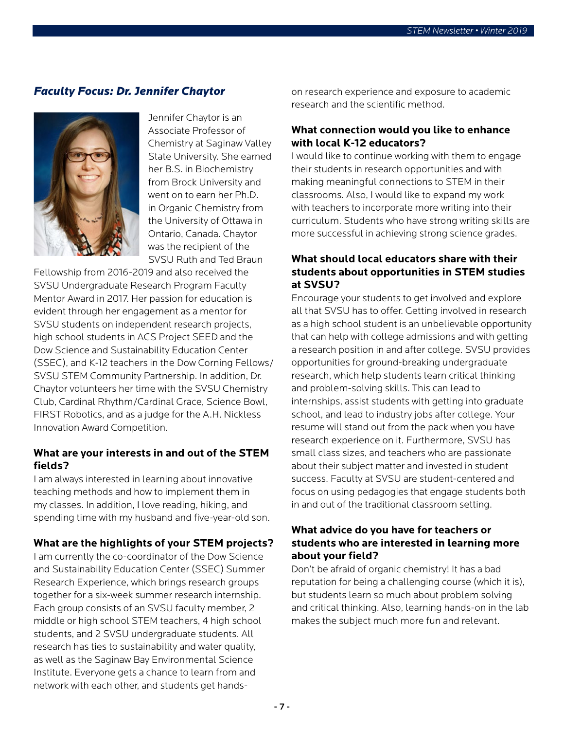### *Faculty Focus: Dr. Jennifer Chaytor*



Jennifer Chaytor is an Associate Professor of Chemistry at Saginaw Valley State University. She earned her B.S. in Biochemistry from Brock University and went on to earn her Ph.D. in Organic Chemistry from the University of Ottawa in Ontario, Canada. Chaytor was the recipient of the SVSU Ruth and Ted Braun

Fellowship from 2016-2019 and also received the SVSU Undergraduate Research Program Faculty Mentor Award in 2017. Her passion for education is evident through her engagement as a mentor for SVSU students on independent research projects, high school students in ACS Project SEED and the Dow Science and Sustainability Education Center (SSEC), and K-12 teachers in the Dow Corning Fellows/ SVSU STEM Community Partnership. In addition, Dr. Chaytor volunteers her time with the SVSU Chemistry Club, Cardinal Rhythm/Cardinal Grace, Science Bowl, FIRST Robotics, and as a judge for the A.H. Nickless Innovation Award Competition.

#### **What are your interests in and out of the STEM fields?**

I am always interested in learning about innovative teaching methods and how to implement them in my classes. In addition, I love reading, hiking, and spending time with my husband and five-year-old son.

#### **What are the highlights of your STEM projects?**

I am currently the co-coordinator of the Dow Science and Sustainability Education Center (SSEC) Summer Research Experience, which brings research groups together for a six-week summer research internship. Each group consists of an SVSU faculty member, 2 middle or high school STEM teachers, 4 high school students, and 2 SVSU undergraduate students. All research has ties to sustainability and water quality, as well as the Saginaw Bay Environmental Science Institute. Everyone gets a chance to learn from and network with each other, and students get handson research experience and exposure to academic research and the scientific method.

#### **What connection would you like to enhance with local K-12 educators?**

I would like to continue working with them to engage their students in research opportunities and with making meaningful connections to STEM in their classrooms. Also, I would like to expand my work with teachers to incorporate more writing into their curriculum. Students who have strong writing skills are more successful in achieving strong science grades.

### **What should local educators share with their students about opportunities in STEM studies at SVSU?**

Encourage your students to get involved and explore all that SVSU has to offer. Getting involved in research as a high school student is an unbelievable opportunity that can help with college admissions and with getting a research position in and after college. SVSU provides opportunities for ground-breaking undergraduate research, which help students learn critical thinking and problem-solving skills. This can lead to internships, assist students with getting into graduate school, and lead to industry jobs after college. Your resume will stand out from the pack when you have research experience on it. Furthermore, SVSU has small class sizes, and teachers who are passionate about their subject matter and invested in student success. Faculty at SVSU are student-centered and focus on using pedagogies that engage students both in and out of the traditional classroom setting.

#### **What advice do you have for teachers or students who are interested in learning more about your field?**

Don't be afraid of organic chemistry! It has a bad reputation for being a challenging course (which it is), but students learn so much about problem solving and critical thinking. Also, learning hands-on in the lab makes the subject much more fun and relevant.